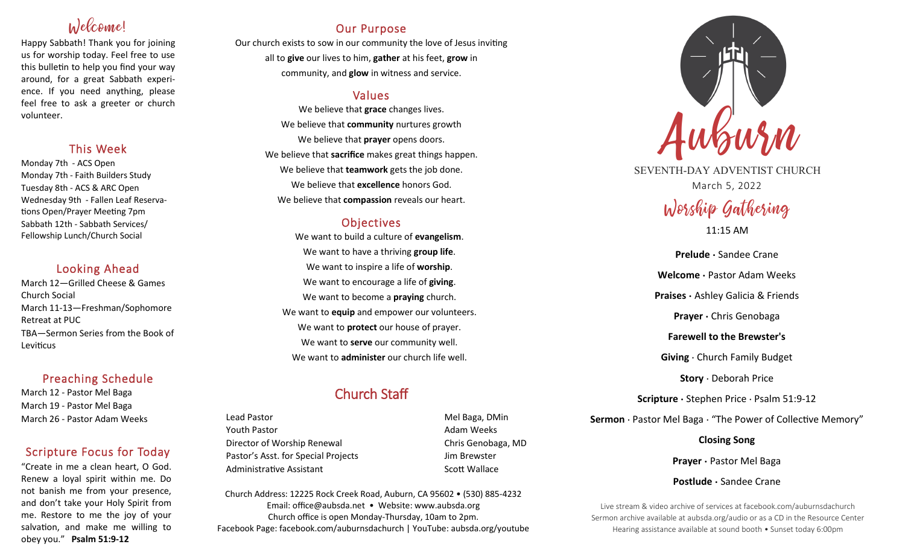# Welcome!

Happy Sabbath! Thank you for joining us for worship today. Feel free to use this bulletin to help you find your way around, for a great Sabbath experience. If you need anything, please feel free to ask a greeter or church volunteer.

## This Week

Monday 7th - ACS Open Monday 7th - Faith Builders Study Tuesday 8th - ACS & ARC Open Wednesday 9th - Fallen Leaf Reservations Open/Prayer Meeting 7pm Sabbath 12th - Sabbath Services/ Fellowship Lunch/Church Social

## Looking Ahead

March 12—Grilled Cheese & Games Church Social March 11-13—Freshman/Sophomore Retreat at PUC TBA—Sermon Series from the Book of Leviticus

# Preaching Schedule

March 12 - Pastor Mel Baga March 19 - Pastor Mel Baga March 26 - Pastor Adam Weeks

# Scripture Focus for Today

"Create in me a clean heart, O God. Renew a loyal spirit within me. Do not banish me from your presence, and don't take your Holy Spirit from me. Restore to me the joy of your salvation, and make me willing to obey you." **Psalm 51:9-12**

# Our Purpose

Our church exists to sow in our community the love of Jesus inviting all to **give** our lives to him, **gather** at his feet, **grow** in community, and **glow** in witness and service.

# Values

We believe that **grace** changes lives. We believe that **community** nurtures growth We believe that **prayer** opens doors. We believe that **sacrifice** makes great things happen. We believe that **teamwork** gets the job done. We believe that **excellence** honors God. We believe that **compassion** reveals our heart.

# **Objectives**

We want to build a culture of **evangelism**. We want to have a thriving **group life**. We want to inspire a life of **worship**. We want to encourage a life of **giving**. We want to become a **praying** church. We want to **equip** and empower our volunteers. We want to **protect** our house of prayer. We want to **serve** our community well. We want to **administer** our church life well.

# Church Staff

Lead Pastor **Mel Baga, DMin** Youth Pastor **Adam Weeks Adam Weeks** Director of Worship Renewal Chris Genobaga, MD Pastor's Asst. for Special Projects Fig. 3.1 Jim Brewster Administrative Assistant National Controllery Scott Wallace

Church Address: 12225 Rock Creek Road, Auburn, CA 95602 • (530) 885-4232 Email: office@aubsda.net • Website: www.aubsda.org Church office is open Monday-Thursday, 10am to 2pm. Facebook Page: facebook.com/auburnsdachurch | YouTube: aubsda.org/youtube



SEVENTH-DAY ADVENTIST CHURCH March 5, 2022

# Worship Gathering 11:15 AM

**Prelude ·** Sandee Crane **Welcome ·** Pastor Adam Weeks **Praises ·** Ashley Galicia & Friends **Prayer ·** Chris Genobaga **Farewell to the Brewster's Giving** · Church Family Budget **Story** · Deborah Price **Scripture ·** Stephen Price · Psalm 51:9-12 **Sermon** · Pastor Mel Baga · "The Power of Collective Memory"

> **Closing Song Prayer ·** Pastor Mel Baga

**Postlude ·** Sandee Crane

Live stream & video archive of services at facebook.com/auburnsdachurch Sermon archive available at aubsda.org/audio or as a CD in the Resource Center Hearing assistance available at sound booth • Sunset today 6:00pm